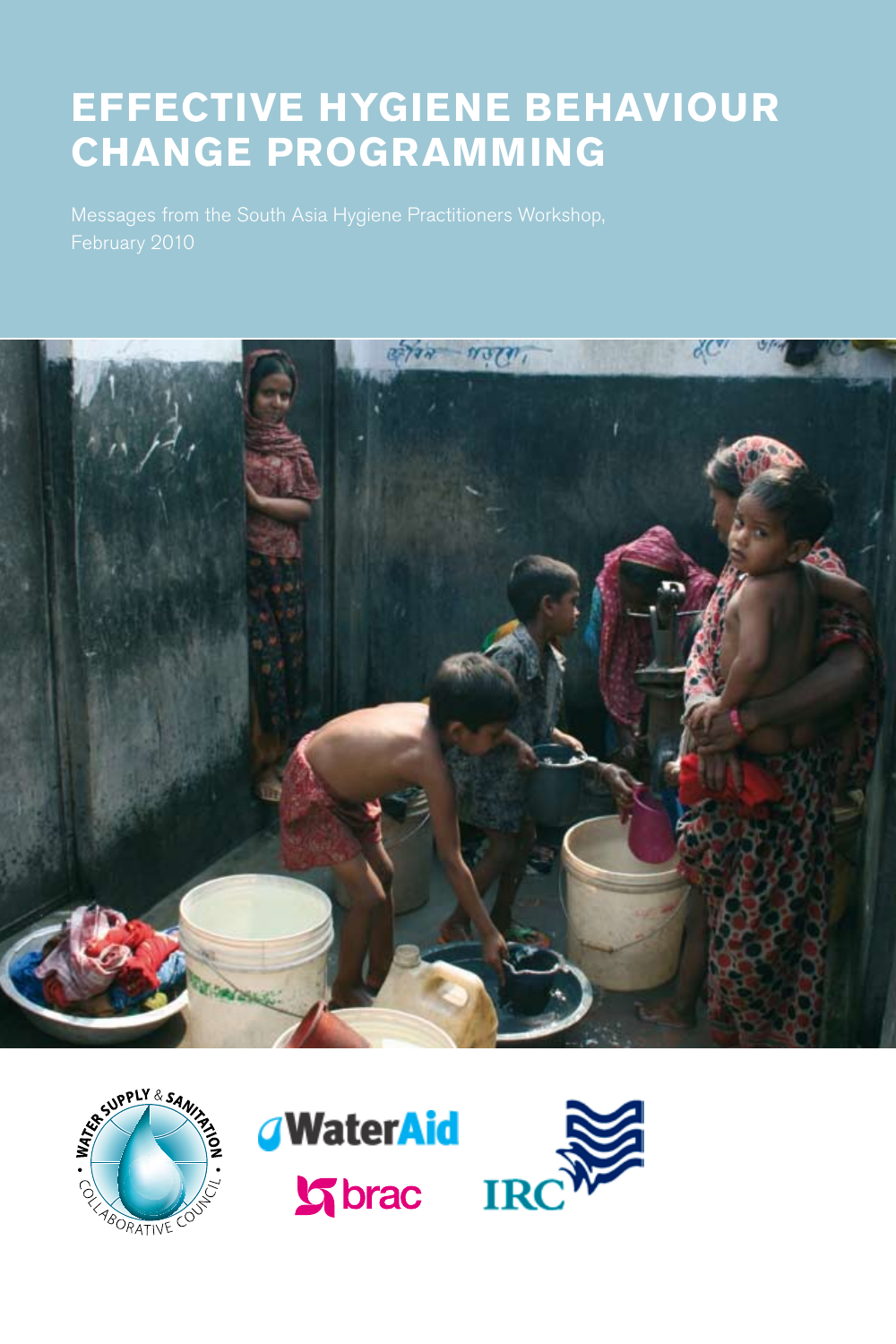# **EFFECTIVE HYGIENE BEHAVIOUR CHANGE PROGRAMMING**





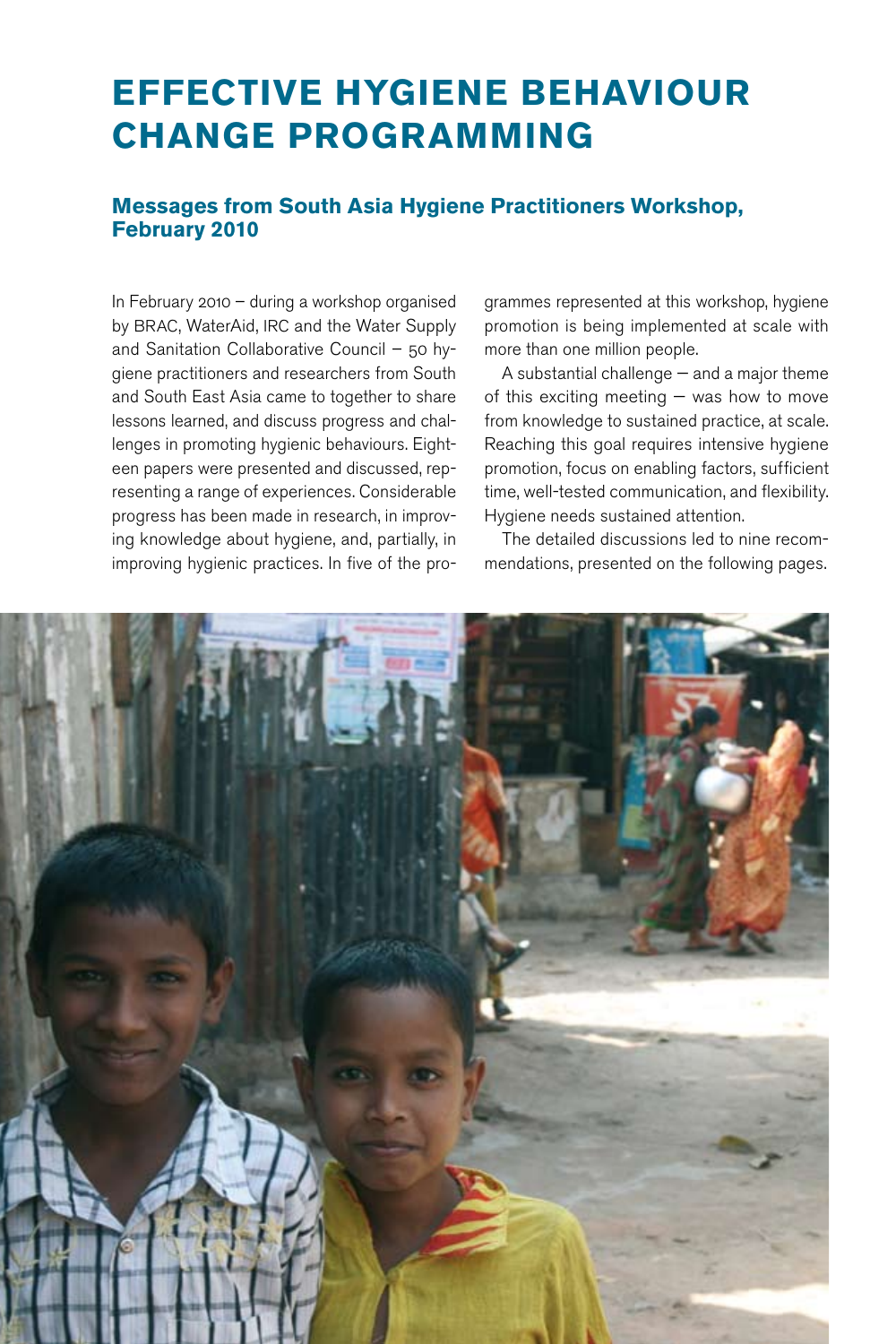# **EFFECTIVE HYGIENE BEHAVIOUR CHANGE PROGRAMMING**

#### **Messages from South Asia Hygiene Practitioners Workshop, February 2010**

In February 2010 – during a workshop organised by BRAC, WaterAid, IRC and the Water Supply and Sanitation Collaborative Council – 50 hygiene practitioners and researchers from South and South East Asia came to together to share lessons learned, and discuss progress and challenges in promoting hygienic behaviours. Eighteen papers were presented and discussed, representing a range of experiences. Considerable progress has been made in research, in improving knowledge about hygiene, and, partially, in improving hygienic practices. In five of the programmes represented at this workshop, hygiene promotion is being implemented at scale with more than one million people.

A substantial challenge — and a major theme of this exciting meeting — was how to move from knowledge to sustained practice, at scale. Reaching this goal requires intensive hygiene promotion, focus on enabling factors, sufficient time, well-tested communication, and flexibility. Hygiene needs sustained attention.

The detailed discussions led to nine recommendations, presented on the following pages.

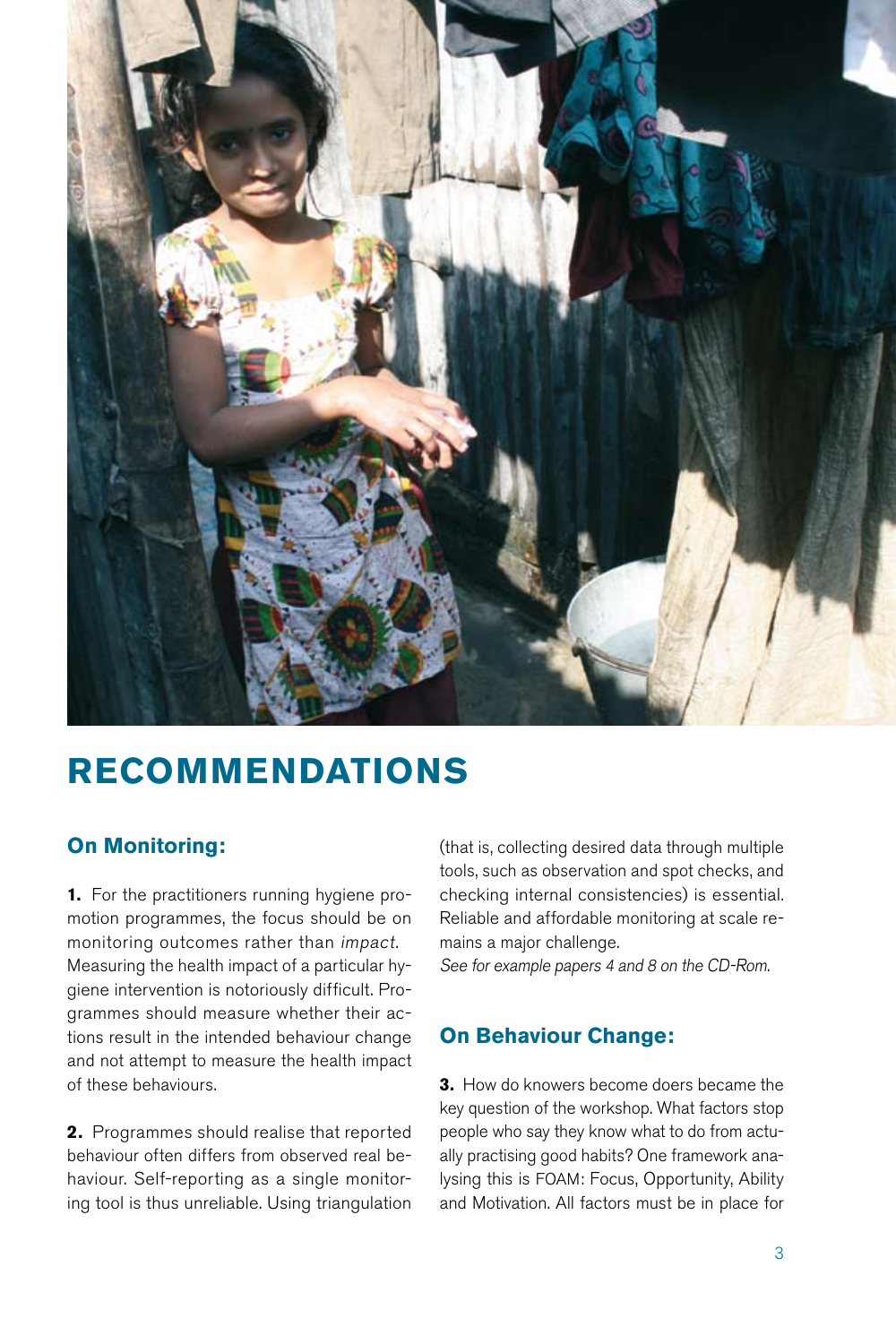

# **RECOMMENDATIONS**

## **On Monitoring:**

**1.** For the practitioners running hygiene promotion programmes, the focus should be on monitoring outcomes rather than impact. Measuring the health impact of a particular hygiene intervention is notoriously difficult. Programmes should measure whether their actions result in the intended behaviour change and not attempt to measure the health impact of these behaviours.

**2.** Programmes should realise that reported behaviour often differs from observed real behaviour. Self-reporting as a single monitoring tool is thus unreliable. Using triangulation

(that is, collecting desired data through multiple tools, such as observation and spot checks, and checking internal consistencies) is essential. Reliable and affordable monitoring at scale remains a major challenge.

See for example papers 4 and 8 on the CD-Rom.

## **On Behaviour Change:**

**3.** How do knowers become doers became the key question of the workshop. What factors stop people who say they know what to do from actually practising good habits? One framework analysing this is FOAM: Focus, Opportunity, Ability and Motivation. All factors must be in place for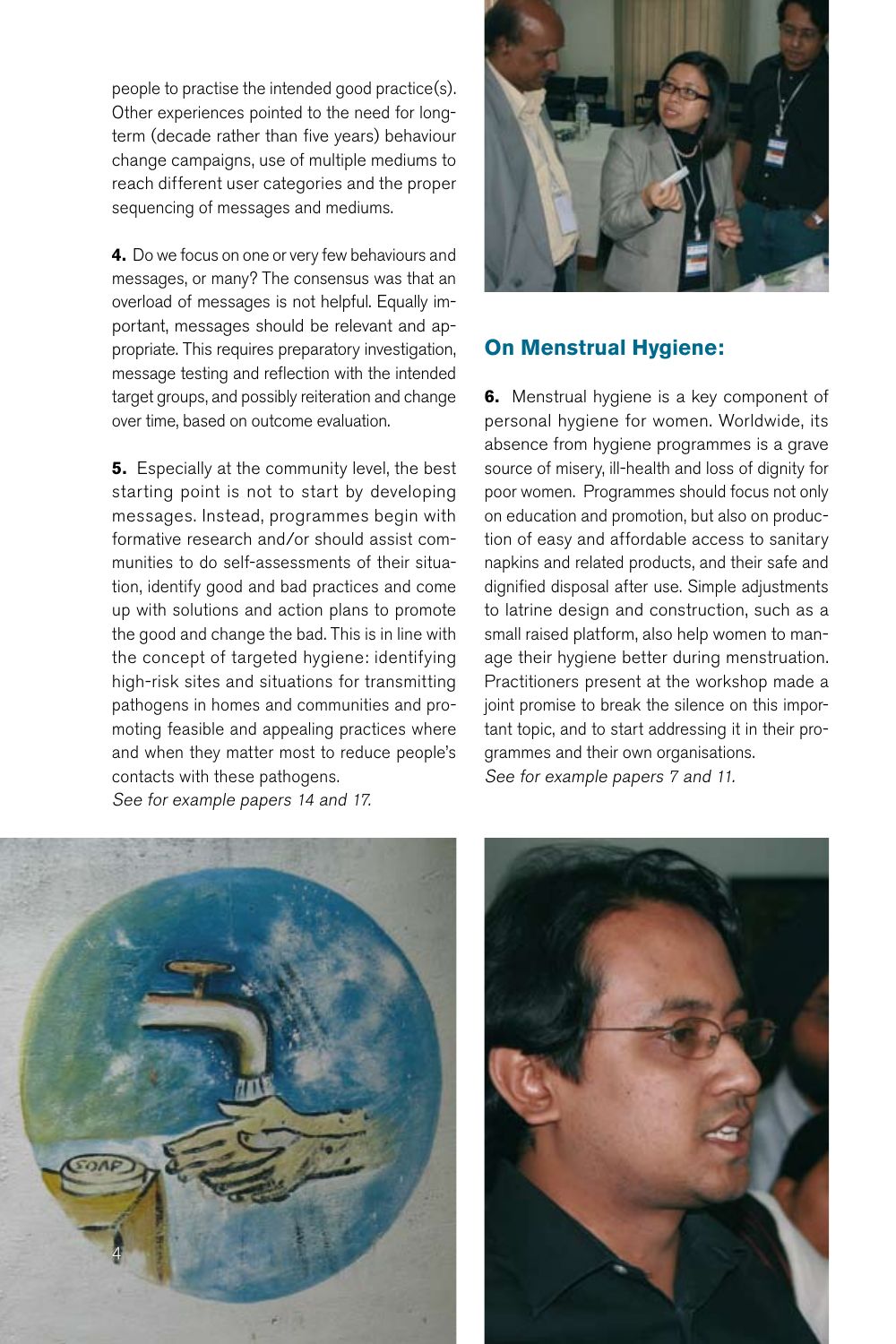people to practise the intended good practice(s). Other experiences pointed to the need for longterm (decade rather than five years) behaviour change campaigns, use of multiple mediums to reach different user categories and the proper sequencing of messages and mediums.

**4.** Do we focus on one or very few behaviours and messages, or many? The consensus was that an overload of messages is not helpful. Equally important, messages should be relevant and appropriate. This requires preparatory investigation, message testing and reflection with the intended target groups, and possibly reiteration and change over time, based on outcome evaluation.

**5.** Especially at the community level, the best starting point is not to start by developing messages. Instead, programmes begin with formative research and/or should assist communities to do self-assessments of their situation, identify good and bad practices and come up with solutions and action plans to promote the good and change the bad. This is in line with the concept of targeted hygiene: identifying high-risk sites and situations for transmitting pathogens in homes and communities and promoting feasible and appealing practices where and when they matter most to reduce people's contacts with these pathogens. See for example papers 14 and 17.



#### **On Menstrual Hygiene:**

**6.** Menstrual hygiene is a key component of personal hygiene for women. Worldwide, its absence from hygiene programmes is a grave source of misery, ill-health and loss of dignity for poor women. Programmes should focus not only on education and promotion, but also on production of easy and affordable access to sanitary napkins and related products, and their safe and dignified disposal after use. Simple adjustments to latrine design and construction, such as a small raised platform, also help women to manage their hygiene better during menstruation. Practitioners present at the workshop made a joint promise to break the silence on this important topic, and to start addressing it in their programmes and their own organisations. See for example papers 7 and 11.



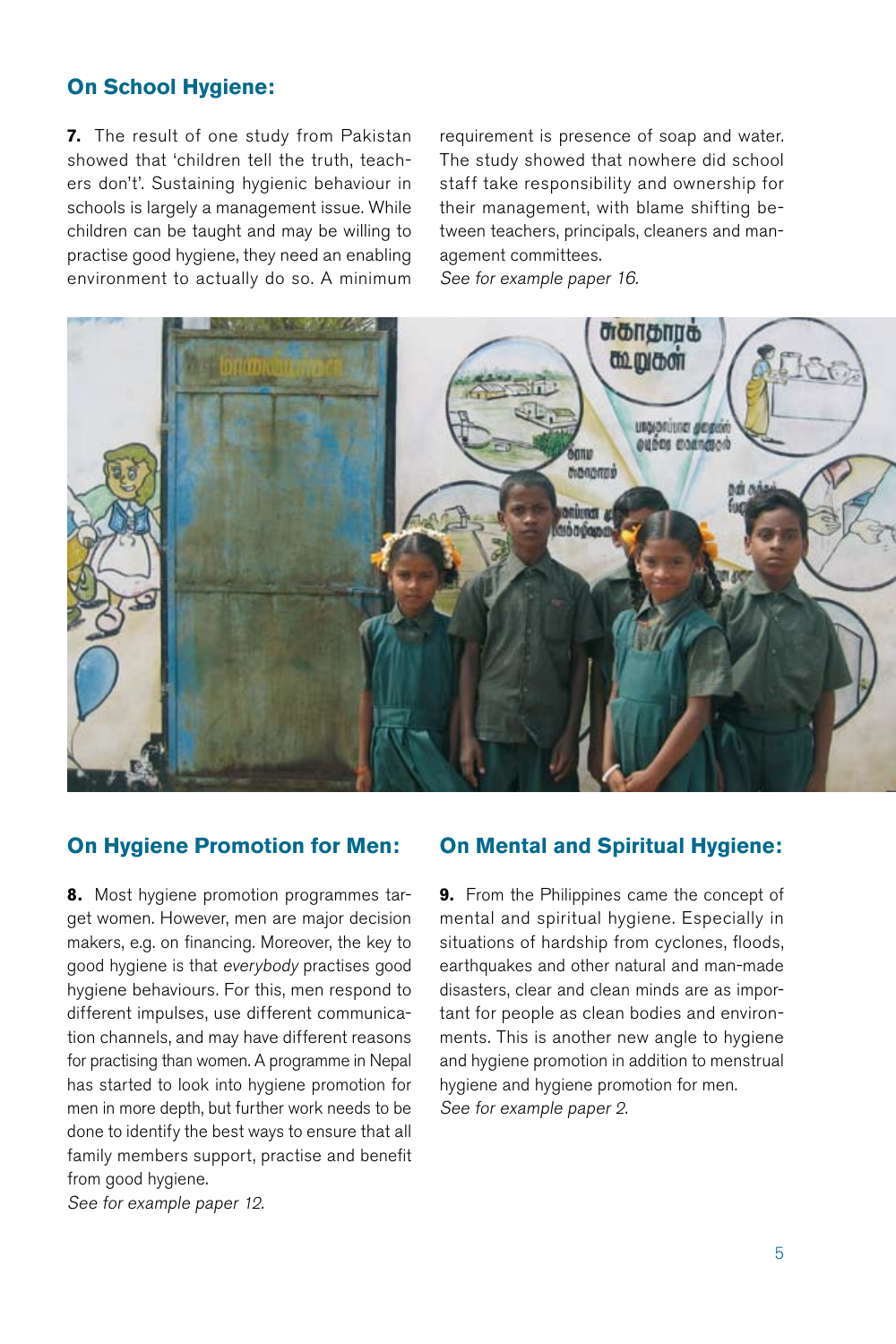### **On School Hygiene:**

**7.** The result of one study from Pakistan showed that 'children tell the truth, teachers don't'. Sustaining hygienic behaviour in schools is largely a management issue. While children can be taught and may be willing to practise good hygiene, they need an enabling environment to actually do so. A minimum requirement is presence of soap and water. The study showed that nowhere did school staff take responsibility and ownership for their management, with blame shifting between teachers, principals, cleaners and management committees. See for example paper 16.



#### **On Hygiene Promotion for Men:**

**8.** Most hygiene promotion programmes target women. However, men are major decision makers, e.g. on financing. Moreover, the key to good hygiene is that everybody practises good hygiene behaviours. For this, men respond to different impulses, use different communication channels, and may have different reasons for practising than women. A programme in Nepal has started to look into hygiene promotion for men in more depth, but further work needs to be done to identify the best ways to ensure that all family members support, practise and benefit from good hygiene.

See for example paper <sup>12</sup>.

#### **On Mental and Spiritual Hygiene:**

**9.** From the Philippines came the concept of mental and spiritual hygiene. Especially in situations of hardship from cyclones, floods, earthquakes and other natural and man-made disasters, clear and clean minds are as important for people as clean bodies and environments. This is another new angle to hygiene and hygiene promotion in addition to menstrual hygiene and hygiene promotion for men. See for example paper <sup>2</sup>.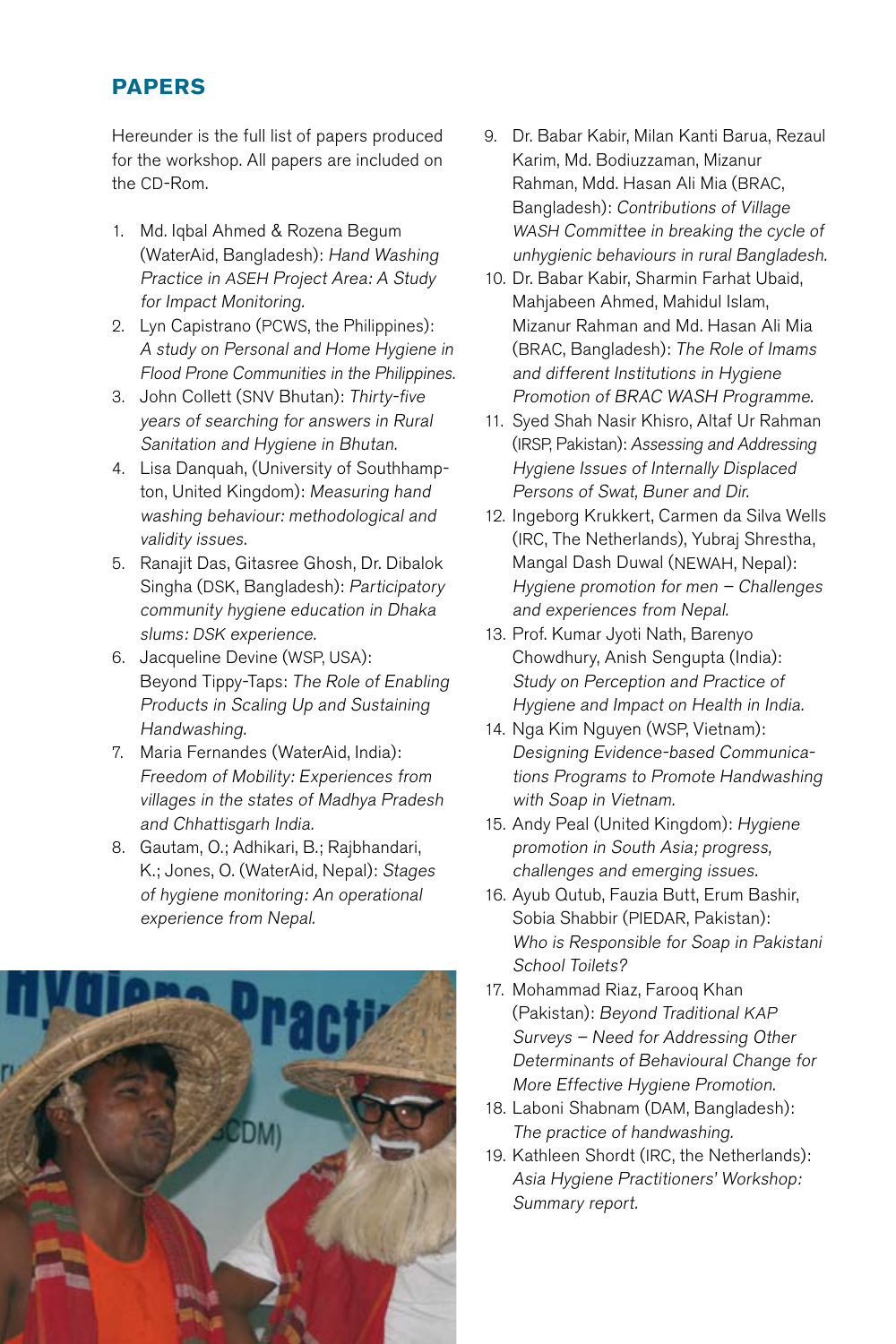# **PAPERS**

Hereunder is the full list of papers produced for the workshop. All papers are included on the CD-Rom.

- 1. Md. Iqbal Ahmed & Rozena Begum (WaterAid, Bangladesh): Hand Washing Practice in ASEH Project Area: A Study for Impact Monitoring.
- 2. Lyn Capistrano (PCWS, the Philippines): A study on Personal and Home Hygiene in Flood Prone Communities in the Philippines.
- 3. John Collett (SNV Bhutan): Thirty-five years of searching for answers in Rural Sanitation and Hygiene in Bhutan.
- 4. Lisa Danquah, (University of Southhampton, United Kingdom): Measuring hand washing behaviour: methodological and validity issues.
- 5. Ranajit Das, Gitasree Ghosh, Dr. Dibalok Singha (DSK, Bangladesh): Participatory community hygiene education in Dhaka slums: DSK experience.
- 6. Jacqueline Devine (WSP, USA): Beyond Tippy-Taps: The Role of Enabling Products in Scaling Up and Sustaining Handwashing.
- 7. Maria Fernandes (WaterAid, India): Freedom of Mobility: Experiences from villages in the states of Madhya Pradesh and Chhattisgarh India.
- 8. Gautam, O.; Adhikari, B.; Rajbhandari, K.; Jones, O. (WaterAid, Nepal): Stages of hygiene monitoring: An operational experience from Nepal.



- 9. Dr. Babar Kabir, Milan Kanti Barua, Rezaul Karim, Md. Bodiuzzaman, Mizanur Rahman, Mdd. Hasan Ali Mia (BRAC, Bangladesh): Contributions of Village WASH Committee in breaking the cycle of unhygienic behaviours in rural Bangladesh.
- 10. Dr. Babar Kabir, Sharmin Farhat Ubaid, Mahjabeen Ahmed, Mahidul Islam, Mizanur Rahman and Md. Hasan Ali Mia (BRAC, Bangladesh): The Role of Imams and different Institutions in Hygiene Promotion of BRAC WASH Programme.
- 11. Syed Shah Nasir Khisro, Altaf Ur Rahman (IRSP, Pakistan): Assessing and Addressing Hygiene Issues of Internally Displaced Persons of Swat, Buner and Dir.
- 12. Ingeborg Krukkert, Carmen da Silva Wells (IRC, The Netherlands), Yubraj Shrestha, Mangal Dash Duwal (NEWAH, Nepal): Hygiene promotion for men – Challenges and experiences from Nepal.
- 13. Prof. Kumar Jyoti Nath, Barenyo Chowdhury, Anish Sengupta (India): Study on Perception and Practice of Hygiene and Impact on Health in India.
- 14. Nga Kim Nguyen (WSP, Vietnam): Designing Evidence-based Communications Programs to Promote Handwashing with Soap in Vietnam.
- 15. Andy Peal (United Kingdom): Hygiene promotion in South Asia; progress, challenges and emerging issues.
- 16. Ayub Qutub, Fauzia Butt, Erum Bashir, Sobia Shabbir (PIEDAR, Pakistan): Who is Responsible for Soap in Pakistani School Toilets?
- 17. Mohammad Riaz, Farooq Khan (Pakistan): Beyond Traditional KAP Surveys – Need for Addressing Other Determinants of Behavioural Change for More Effective Hygiene Promotion.
- 18. Laboni Shabnam (DAM, Bangladesh): The practice of handwashing.
- 19. Kathleen Shordt (IRC, the Netherlands): Asia Hygiene Practitioners' Workshop: Summary report.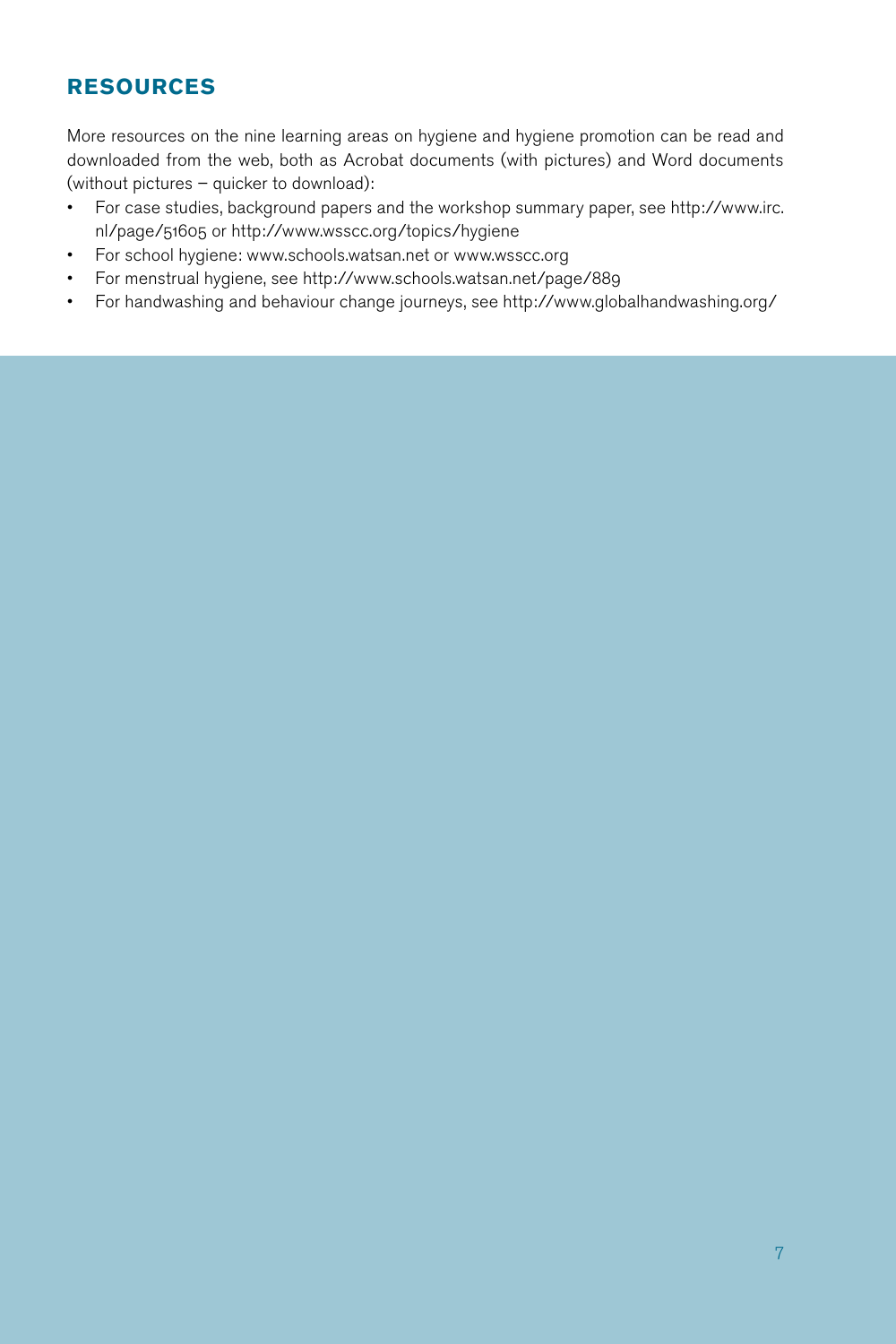# **RESOURCES**

More resources on the nine learning areas on hygiene and hygiene promotion can be read and downloaded from the web, both as Acrobat documents (with pictures) and Word documents (without pictures – quicker to download):

- • For case studies, background papers and the workshop summary paper, see http://www.irc. nl/page/51605 or http://www.wsscc.org/topics/hygiene
- For school hygiene: www.schools.watsan.net or www.wsscc.org
- • For menstrual hygiene, see http://www.schools.watsan.net/page/889
- • For handwashing and behaviour change journeys, see http://www.globalhandwashing.org/